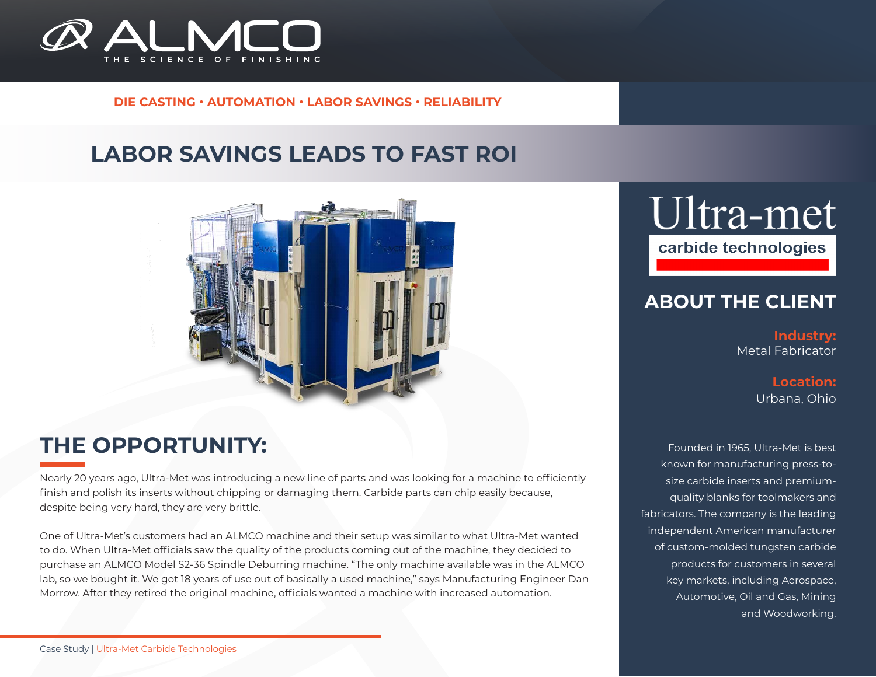

### **DIE CASTING** • **AUTOMATION** • **LABOR SAVINGS** • **RELIABILITY**

## **LABOR SAVINGS LEADS TO FAST ROI**



## **THE OPPORTUNITY:**

Nearly 20 years ago, Ultra-Met was introducing a new line of parts and was looking for a machine to efficiently finish and polish its inserts without chipping or damaging them. Carbide parts can chip easily because, despite being very hard, they are very brittle.

One of Ultra-Met's customers had an ALMCO machine and their setup was similar to what Ultra-Met wanted to do. When Ultra-Met officials saw the quality of the products coming out of the machine, they decided to purchase an ALMCO Model S2-36 Spindle Deburring machine. "The only machine available was in the ALMCO lab, so we bought it. We got 18 years of use out of basically a used machine," says Manufacturing Engineer Dan Morrow. After they retired the original machine, officials wanted a machine with increased automation.

# Ultra-met

carbide technologies

## **ABOUT THE CLIENT**

**Industry:** Metal Fabricator

> **Location:** Urbana, Ohio

Founded in 1965, Ultra-Met is best known for manufacturing press-tosize carbide inserts and premiumquality blanks for toolmakers and fabricators. The company is the leading independent American manufacturer of custom-molded tungsten carbide products for customers in several key markets, including Aerospace, Automotive, Oil and Gas, Mining and Woodworking.